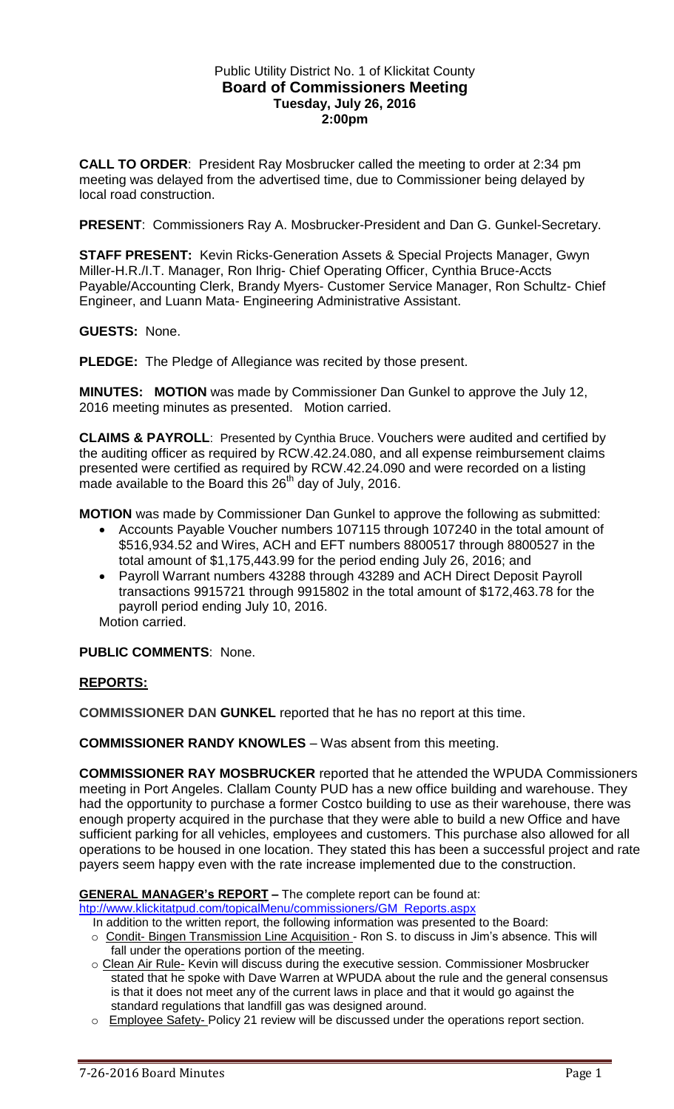# Public Utility District No. 1 of Klickitat County **Board of Commissioners Meeting Tuesday, July 26, 2016 2:00pm**

**CALL TO ORDER**: President Ray Mosbrucker called the meeting to order at 2:34 pm meeting was delayed from the advertised time, due to Commissioner being delayed by local road construction.

**PRESENT**: Commissioners Ray A. Mosbrucker-President and Dan G. Gunkel-Secretary.

**STAFF PRESENT:** Kevin Ricks-Generation Assets & Special Projects Manager, Gwyn Miller-H.R./I.T. Manager, Ron Ihrig- Chief Operating Officer, Cynthia Bruce-Accts Payable/Accounting Clerk, Brandy Myers- Customer Service Manager, Ron Schultz- Chief Engineer, and Luann Mata- Engineering Administrative Assistant.

**GUESTS:** None.

**PLEDGE:** The Pledge of Allegiance was recited by those present.

**MINUTES: MOTION** was made by Commissioner Dan Gunkel to approve the July 12, 2016 meeting minutes as presented. Motion carried.

**CLAIMS & PAYROLL**: Presented by Cynthia Bruce. Vouchers were audited and certified by the auditing officer as required by RCW.42.24.080, and all expense reimbursement claims presented were certified as required by RCW.42.24.090 and were recorded on a listing made available to the Board this  $26<sup>th</sup>$  day of July, 2016.

**MOTION** was made by Commissioner Dan Gunkel to approve the following as submitted:

- Accounts Payable Voucher numbers 107115 through 107240 in the total amount of \$516,934.52 and Wires, ACH and EFT numbers 8800517 through 8800527 in the total amount of \$1,175,443.99 for the period ending July 26, 2016; and
- Payroll Warrant numbers 43288 through 43289 and ACH Direct Deposit Payroll transactions 9915721 through 9915802 in the total amount of \$172,463.78 for the payroll period ending July 10, 2016.

Motion carried.

**PUBLIC COMMENTS**: None.

# **REPORTS:**

**COMMISSIONER DAN GUNKEL** reported that he has no report at this time.

**COMMISSIONER RANDY KNOWLES** – Was absent from this meeting.

**COMMISSIONER RAY MOSBRUCKER** reported that he attended the WPUDA Commissioners meeting in Port Angeles. Clallam County PUD has a new office building and warehouse. They had the opportunity to purchase a former Costco building to use as their warehouse, there was enough property acquired in the purchase that they were able to build a new Office and have sufficient parking for all vehicles, employees and customers. This purchase also allowed for all operations to be housed in one location. They stated this has been a successful project and rate payers seem happy even with the rate increase implemented due to the construction.

**GENERAL MANAGER's REPORT –** The complete report can be found at:

[htp://www.klickitatpud.com/topicalMenu/commissioners/GM\\_Reports.aspx](http://www.klickitatpud.com/topicalMenu/commissioners/GM_Reports.aspx)

- In addition to the written report, the following information was presented to the Board:
- o Condit- Bingen Transmission Line Acquisition Ron S. to discuss in Jim's absence. This will fall under the operations portion of the meeting.
- o Clean Air Rule- Kevin will discuss during the executive session. Commissioner Mosbrucker stated that he spoke with Dave Warren at WPUDA about the rule and the general consensus is that it does not meet any of the current laws in place and that it would go against the standard regulations that landfill gas was designed around.
- o Employee Safety- Policy 21 review will be discussed under the operations report section.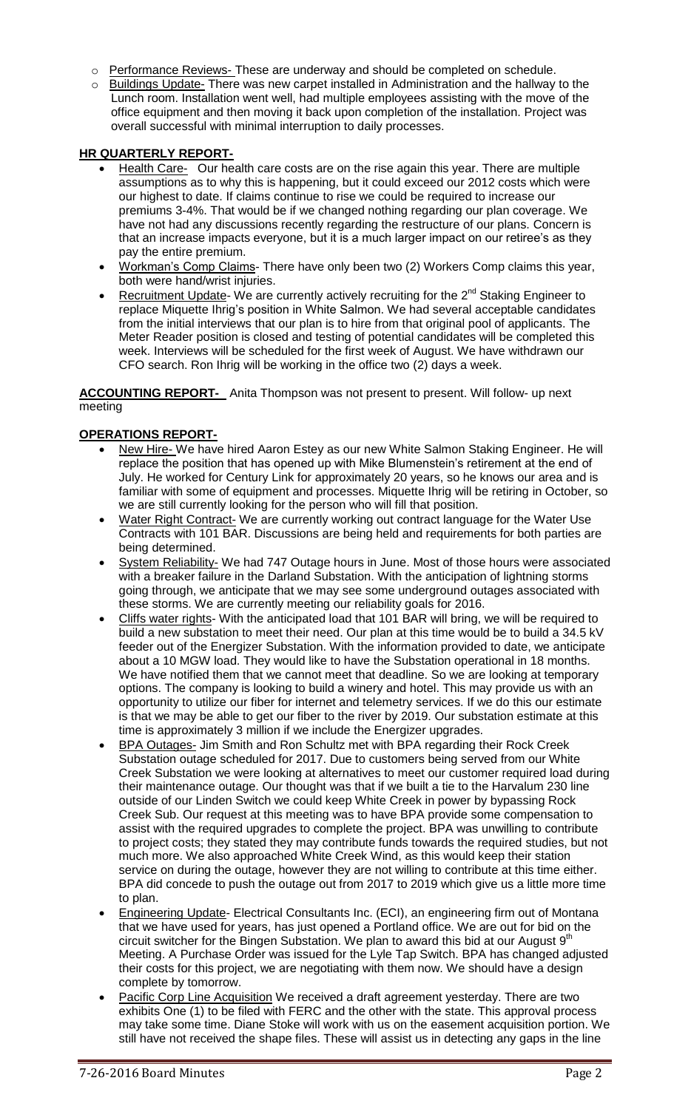- o Performance Reviews- These are underway and should be completed on schedule.
- o Buildings Update- There was new carpet installed in Administration and the hallway to the Lunch room. Installation went well, had multiple employees assisting with the move of the office equipment and then moving it back upon completion of the installation. Project was overall successful with minimal interruption to daily processes.

# **HR QUARTERLY REPORT-**

- Health Care- Our health care costs are on the rise again this year. There are multiple assumptions as to why this is happening, but it could exceed our 2012 costs which were our highest to date. If claims continue to rise we could be required to increase our premiums 3-4%. That would be if we changed nothing regarding our plan coverage. We have not had any discussions recently regarding the restructure of our plans. Concern is that an increase impacts everyone, but it is a much larger impact on our retiree's as they pay the entire premium.
- Workman's Comp Claims- There have only been two (2) Workers Comp claims this year, both were hand/wrist injuries.
- Recruitment Update- We are currently actively recruiting for the 2<sup>nd</sup> Staking Engineer to replace Miquette Ihrig's position in White Salmon. We had several acceptable candidates from the initial interviews that our plan is to hire from that original pool of applicants. The Meter Reader position is closed and testing of potential candidates will be completed this week. Interviews will be scheduled for the first week of August. We have withdrawn our CFO search. Ron Ihrig will be working in the office two (2) days a week.

**ACCOUNTING REPORT-** Anita Thompson was not present to present. Will follow- up next meeting

### **OPERATIONS REPORT-**

- New Hire- We have hired Aaron Estey as our new White Salmon Staking Engineer. He will replace the position that has opened up with Mike Blumenstein's retirement at the end of July. He worked for Century Link for approximately 20 years, so he knows our area and is familiar with some of equipment and processes. Miquette Ihrig will be retiring in October, so we are still currently looking for the person who will fill that position.
- Water Right Contract- We are currently working out contract language for the Water Use Contracts with 101 BAR. Discussions are being held and requirements for both parties are being determined.
- System Reliability- We had 747 Outage hours in June. Most of those hours were associated with a breaker failure in the Darland Substation. With the anticipation of lightning storms going through, we anticipate that we may see some underground outages associated with these storms. We are currently meeting our reliability goals for 2016.
- Cliffs water rights- With the anticipated load that 101 BAR will bring, we will be required to build a new substation to meet their need. Our plan at this time would be to build a 34.5 kV feeder out of the Energizer Substation. With the information provided to date, we anticipate about a 10 MGW load. They would like to have the Substation operational in 18 months. We have notified them that we cannot meet that deadline. So we are looking at temporary options. The company is looking to build a winery and hotel. This may provide us with an opportunity to utilize our fiber for internet and telemetry services. If we do this our estimate is that we may be able to get our fiber to the river by 2019. Our substation estimate at this time is approximately 3 million if we include the Energizer upgrades.
- BPA Outages- Jim Smith and Ron Schultz met with BPA regarding their Rock Creek Substation outage scheduled for 2017. Due to customers being served from our White Creek Substation we were looking at alternatives to meet our customer required load during their maintenance outage. Our thought was that if we built a tie to the Harvalum 230 line outside of our Linden Switch we could keep White Creek in power by bypassing Rock Creek Sub. Our request at this meeting was to have BPA provide some compensation to assist with the required upgrades to complete the project. BPA was unwilling to contribute to project costs; they stated they may contribute funds towards the required studies, but not much more. We also approached White Creek Wind, as this would keep their station service on during the outage, however they are not willing to contribute at this time either. BPA did concede to push the outage out from 2017 to 2019 which give us a little more time to plan.
- Engineering Update- Electrical Consultants Inc. (ECI), an engineering firm out of Montana that we have used for years, has just opened a Portland office. We are out for bid on the circuit switcher for the Bingen Substation. We plan to award this bid at our August  $9<sup>th</sup>$ Meeting. A Purchase Order was issued for the Lyle Tap Switch. BPA has changed adjusted their costs for this project, we are negotiating with them now. We should have a design complete by tomorrow.
- Pacific Corp Line Acquisition We received a draft agreement yesterday. There are two exhibits One (1) to be filed with FERC and the other with the state. This approval process may take some time. Diane Stoke will work with us on the easement acquisition portion. We still have not received the shape files. These will assist us in detecting any gaps in the line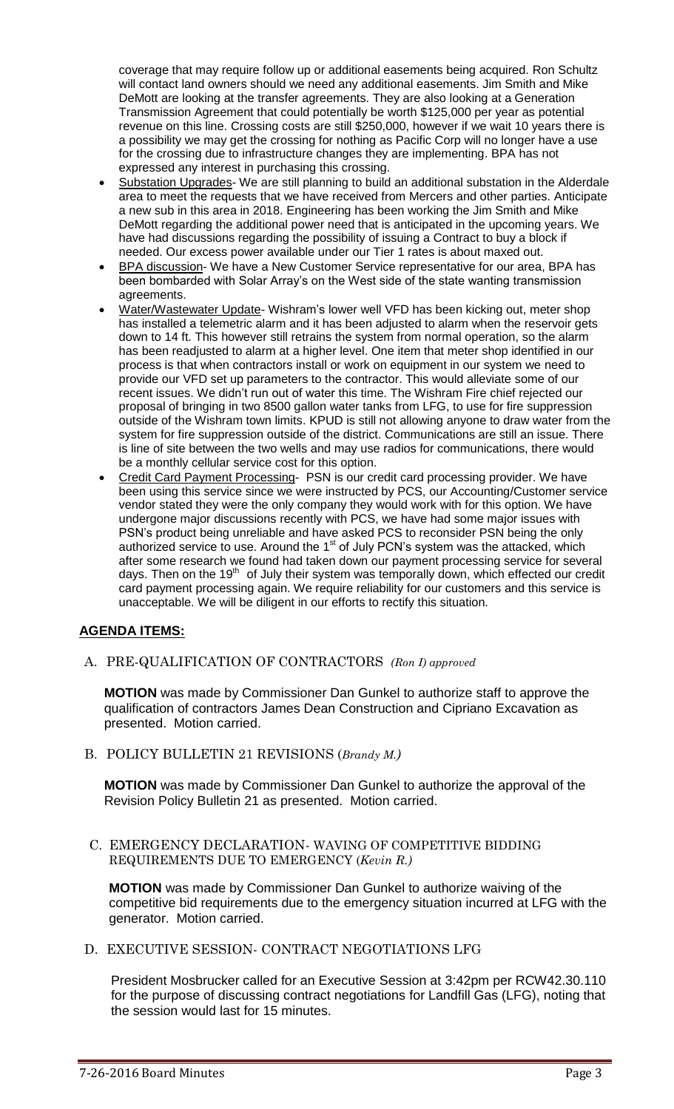coverage that may require follow up or additional easements being acquired. Ron Schultz will contact land owners should we need any additional easements. Jim Smith and Mike DeMott are looking at the transfer agreements. They are also looking at a Generation Transmission Agreement that could potentially be worth \$125,000 per year as potential revenue on this line. Crossing costs are still \$250,000, however if we wait 10 years there is a possibility we may get the crossing for nothing as Pacific Corp will no longer have a use for the crossing due to infrastructure changes they are implementing. BPA has not expressed any interest in purchasing this crossing.

- Substation Upgrades- We are still planning to build an additional substation in the Alderdale area to meet the requests that we have received from Mercers and other parties. Anticipate a new sub in this area in 2018. Engineering has been working the Jim Smith and Mike DeMott regarding the additional power need that is anticipated in the upcoming years. We have had discussions regarding the possibility of issuing a Contract to buy a block if needed. Our excess power available under our Tier 1 rates is about maxed out.
- BPA discussion- We have a New Customer Service representative for our area, BPA has been bombarded with Solar Array's on the West side of the state wanting transmission agreements.
- Water/Wastewater Update- Wishram's lower well VFD has been kicking out, meter shop has installed a telemetric alarm and it has been adjusted to alarm when the reservoir gets down to 14 ft. This however still retrains the system from normal operation, so the alarm has been readjusted to alarm at a higher level. One item that meter shop identified in our process is that when contractors install or work on equipment in our system we need to provide our VFD set up parameters to the contractor. This would alleviate some of our recent issues. We didn't run out of water this time. The Wishram Fire chief rejected our proposal of bringing in two 8500 gallon water tanks from LFG, to use for fire suppression outside of the Wishram town limits. KPUD is still not allowing anyone to draw water from the system for fire suppression outside of the district. Communications are still an issue. There is line of site between the two wells and may use radios for communications, there would be a monthly cellular service cost for this option.
- Credit Card Payment Processing- PSN is our credit card processing provider. We have been using this service since we were instructed by PCS, our Accounting/Customer service vendor stated they were the only company they would work with for this option. We have undergone major discussions recently with PCS, we have had some major issues with PSN's product being unreliable and have asked PCS to reconsider PSN being the only authorized service to use. Around the 1<sup>st</sup> of July PCN's system was the attacked, which after some research we found had taken down our payment processing service for several days. Then on the 19<sup>th</sup> of July their system was temporally down, which effected our credit card payment processing again. We require reliability for our customers and this service is unacceptable. We will be diligent in our efforts to rectify this situation.

# **AGENDA ITEMS:**

A. PRE-QUALIFICATION OF CONTRACTORS *(Ron I) approved* 

**MOTION** was made by Commissioner Dan Gunkel to authorize staff to approve the qualification of contractors James Dean Construction and Cipriano Excavation as presented. Motion carried.

B. POLICY BULLETIN 21 REVISIONS (*Brandy M.)*

**MOTION** was made by Commissioner Dan Gunkel to authorize the approval of the Revision Policy Bulletin 21 as presented. Motion carried.

C. EMERGENCY DECLARATION- WAVING OF COMPETITIVE BIDDING REQUIREMENTS DUE TO EMERGENCY (*Kevin R.)* 

**MOTION** was made by Commissioner Dan Gunkel to authorize waiving of the competitive bid requirements due to the emergency situation incurred at LFG with the generator. Motion carried.

D. EXECUTIVE SESSION- CONTRACT NEGOTIATIONS LFG

President Mosbrucker called for an Executive Session at 3:42pm per RCW42.30.110 for the purpose of discussing contract negotiations for Landfill Gas (LFG), noting that the session would last for 15 minutes.